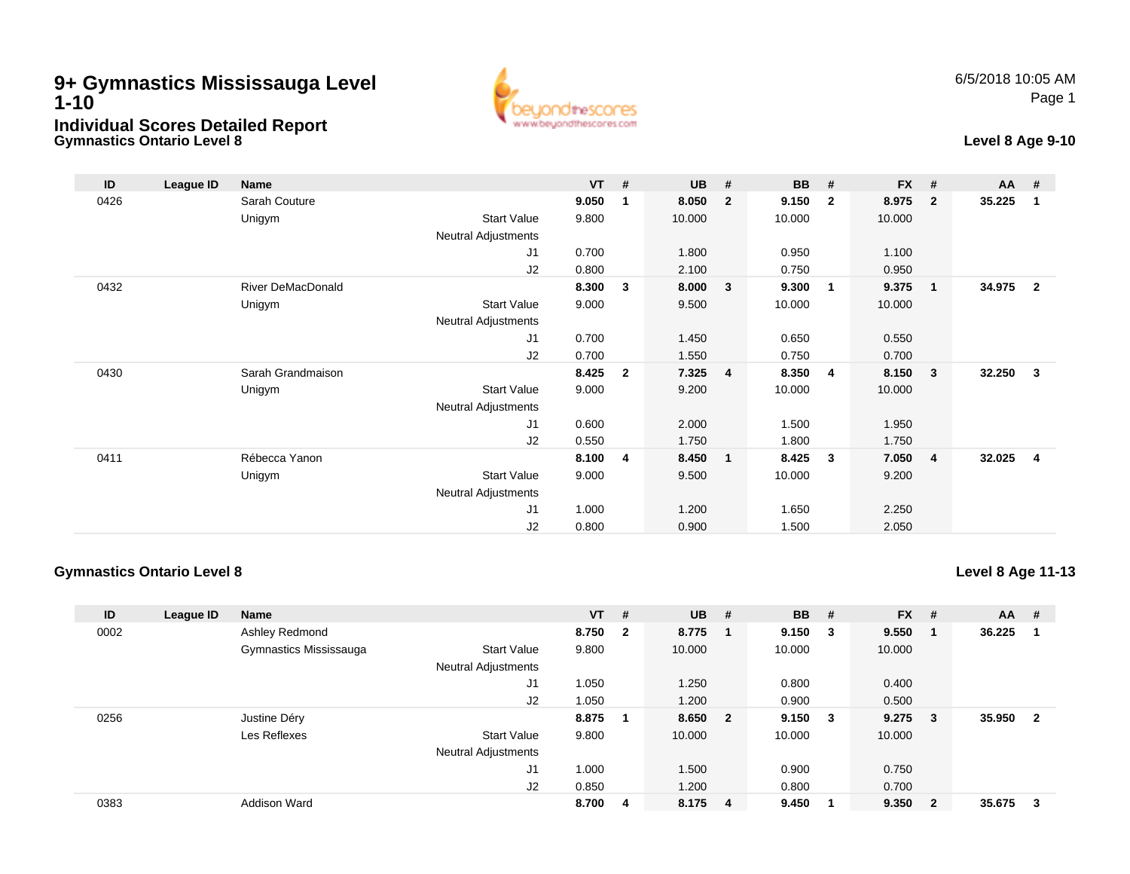## **Gymnastics Ontario Level 89+ Gymnastics Mississauga Level 1-10Individual Scores Detailed Report**



## **Level 8 Age 9-10**

| ID   | League ID | <b>Name</b>              |                     | $VT$ # |              | <b>UB</b> | #                       | <b>BB</b> | #                       | <b>FX</b> | #              | $AA$ # |                |
|------|-----------|--------------------------|---------------------|--------|--------------|-----------|-------------------------|-----------|-------------------------|-----------|----------------|--------|----------------|
| 0426 |           | Sarah Couture            |                     | 9.050  | 1            | 8.050     | $\overline{2}$          | 9.150     | $\overline{2}$          | 8.975     | $\overline{2}$ | 35.225 | 1              |
|      |           | Unigym                   | <b>Start Value</b>  | 9.800  |              | 10.000    |                         | 10.000    |                         | 10.000    |                |        |                |
|      |           |                          | Neutral Adjustments |        |              |           |                         |           |                         |           |                |        |                |
|      |           |                          | J <sub>1</sub>      | 0.700  |              | 1.800     |                         | 0.950     |                         | 1.100     |                |        |                |
|      |           |                          | J2                  | 0.800  |              | 2.100     |                         | 0.750     |                         | 0.950     |                |        |                |
| 0432 |           | <b>River DeMacDonald</b> |                     | 8.300  | 3            | 8.000     | $\overline{\mathbf{3}}$ | 9.300     | $\overline{\mathbf{1}}$ | 9.375     | 1              | 34.975 | $\overline{2}$ |
|      |           | Unigym                   | <b>Start Value</b>  | 9.000  |              | 9.500     |                         | 10.000    |                         | 10.000    |                |        |                |
|      |           |                          | Neutral Adjustments |        |              |           |                         |           |                         |           |                |        |                |
|      |           |                          | J1                  | 0.700  |              | 1.450     |                         | 0.650     |                         | 0.550     |                |        |                |
|      |           |                          | J <sub>2</sub>      | 0.700  |              | 1.550     |                         | 0.750     |                         | 0.700     |                |        |                |
| 0430 |           | Sarah Grandmaison        |                     | 8.425  | $\mathbf{2}$ | 7.325     | $\overline{4}$          | 8.350     | -4                      | 8.150     | 3              | 32.250 | 3              |
|      |           | Unigym                   | <b>Start Value</b>  | 9.000  |              | 9.200     |                         | 10.000    |                         | 10.000    |                |        |                |
|      |           |                          | Neutral Adjustments |        |              |           |                         |           |                         |           |                |        |                |
|      |           |                          | J <sub>1</sub>      | 0.600  |              | 2.000     |                         | 1.500     |                         | 1.950     |                |        |                |
|      |           |                          | J2                  | 0.550  |              | 1.750     |                         | 1.800     |                         | 1.750     |                |        |                |
| 0411 |           | Rébecca Yanon            |                     | 8.100  | 4            | 8.450     | $\overline{\mathbf{1}}$ | 8.425     | -3                      | 7.050     | 4              | 32.025 | $\overline{4}$ |
|      |           | Unigym                   | <b>Start Value</b>  | 9.000  |              | 9.500     |                         | 10.000    |                         | 9.200     |                |        |                |
|      |           |                          | Neutral Adjustments |        |              |           |                         |           |                         |           |                |        |                |
|      |           |                          | J1                  | 1.000  |              | 1.200     |                         | 1.650     |                         | 2.250     |                |        |                |
|      |           |                          | J <sub>2</sub>      | 0.800  |              | 0.900     |                         | 1.500     |                         | 2.050     |                |        |                |

the!

www.beuondthescores.com

res

## **Gymnastics Ontario Level 8**

**Level 8 Age 11-13**

| ID   | League ID | <b>Name</b>            |                            | $VT$ # |                         | $UB$ #  |                         | <b>BB</b> | -#                      | $FX$ # |                         | <b>AA</b> | #              |
|------|-----------|------------------------|----------------------------|--------|-------------------------|---------|-------------------------|-----------|-------------------------|--------|-------------------------|-----------|----------------|
| 0002 |           | Ashley Redmond         |                            | 8.750  | $\overline{\mathbf{2}}$ | 8.775 1 |                         | 9.150     | - 3                     | 9.550  | -1                      | 36.225    |                |
|      |           | Gymnastics Mississauga | <b>Start Value</b>         | 9.800  |                         | 10.000  |                         | 10.000    |                         | 10.000 |                         |           |                |
|      |           |                        | <b>Neutral Adjustments</b> |        |                         |         |                         |           |                         |        |                         |           |                |
|      |           |                        | J1                         | 1.050  |                         | 1.250   |                         | 0.800     |                         | 0.400  |                         |           |                |
|      |           |                        | J2                         | 1.050  |                         | 1.200   |                         | 0.900     |                         | 0.500  |                         |           |                |
| 0256 |           | Justine Déry           |                            | 8.875  |                         | 8.650   | $\overline{\mathbf{2}}$ | 9.150     | $\overline{\mathbf{3}}$ | 9.275  | - 3                     | 35.950    | $\overline{2}$ |
|      |           | Les Reflexes           | <b>Start Value</b>         | 9.800  |                         | 10.000  |                         | 10.000    |                         | 10.000 |                         |           |                |
|      |           |                        | <b>Neutral Adjustments</b> |        |                         |         |                         |           |                         |        |                         |           |                |
|      |           |                        | J1                         | 1.000  |                         | 1.500   |                         | 0.900     |                         | 0.750  |                         |           |                |
|      |           |                        | J2                         | 0.850  |                         | 1.200   |                         | 0.800     |                         | 0.700  |                         |           |                |
| 0383 |           | <b>Addison Ward</b>    |                            | 8.700  | 4                       | 8.175 4 |                         | 9.450     |                         | 9.350  | $\overline{\mathbf{2}}$ | 35.675    | 3              |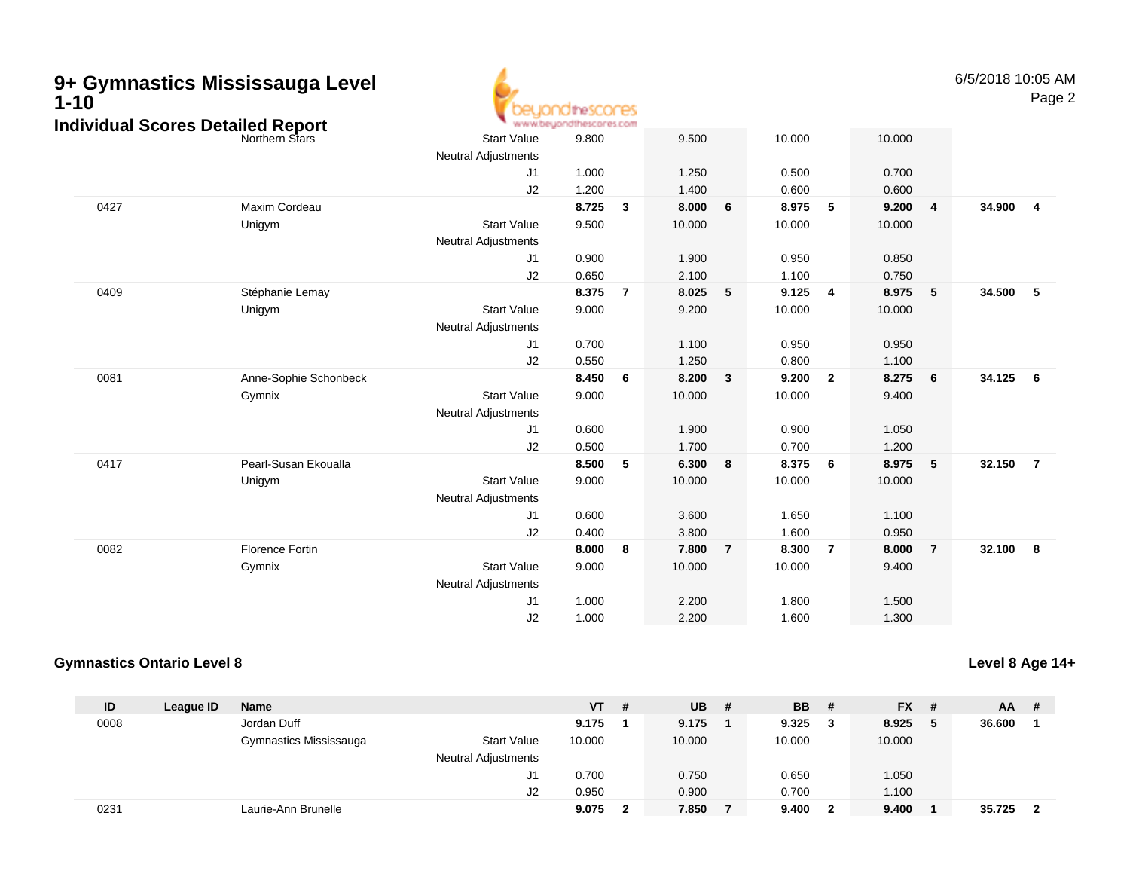| 9+ Gymnastics Mississauga Level<br>$1 - 10$ |                                          |                        |                            | idinescores                      |                         |        |                 |        |                         |        |                 | 6/5/2018 10:05 AM | Page 2                  |
|---------------------------------------------|------------------------------------------|------------------------|----------------------------|----------------------------------|-------------------------|--------|-----------------|--------|-------------------------|--------|-----------------|-------------------|-------------------------|
|                                             | <b>Individual Scores Detailed Report</b> |                        | <b>Start Value</b>         | www.beyondthescores.com<br>9.800 |                         | 9.500  |                 | 10.000 |                         | 10.000 |                 |                   |                         |
|                                             |                                          |                        | <b>Neutral Adjustments</b> |                                  |                         |        |                 |        |                         |        |                 |                   |                         |
|                                             |                                          |                        | J1                         | 1.000                            |                         | 1.250  |                 | 0.500  |                         | 0.700  |                 |                   |                         |
|                                             |                                          |                        | J2                         | 1.200                            |                         | 1.400  |                 | 0.600  |                         | 0.600  |                 |                   |                         |
|                                             | 0427                                     | Maxim Cordeau          |                            | 8.725                            | $\overline{\mathbf{3}}$ | 8.000  | $6\phantom{1}6$ | 8.975  | $\sqrt{5}$              | 9.200  | $\overline{4}$  | 34.900            | $\overline{4}$          |
|                                             |                                          | Unigym                 | <b>Start Value</b>         | 9.500                            |                         | 10.000 |                 | 10.000 |                         | 10.000 |                 |                   |                         |
|                                             |                                          |                        | <b>Neutral Adjustments</b> |                                  |                         |        |                 |        |                         |        |                 |                   |                         |
|                                             |                                          |                        | J1                         | 0.900                            |                         | 1.900  |                 | 0.950  |                         | 0.850  |                 |                   |                         |
|                                             |                                          |                        | J2                         | 0.650                            |                         | 2.100  |                 | 1.100  |                         | 0.750  |                 |                   |                         |
|                                             | 0409                                     | Stéphanie Lemay        |                            | 8.375                            | $\overline{7}$          | 8.025  | 5               | 9.125  | $\overline{\mathbf{4}}$ | 8.975  | 5               | 34.500            | 5                       |
|                                             |                                          | Unigym                 | <b>Start Value</b>         | 9.000                            |                         | 9.200  |                 | 10.000 |                         | 10.000 |                 |                   |                         |
|                                             |                                          |                        | <b>Neutral Adjustments</b> |                                  |                         |        |                 |        |                         |        |                 |                   |                         |
|                                             |                                          |                        | J1                         | 0.700                            |                         | 1.100  |                 | 0.950  |                         | 0.950  |                 |                   |                         |
|                                             |                                          |                        | J2                         | 0.550                            |                         | 1.250  |                 | 0.800  |                         | 1.100  |                 |                   |                         |
|                                             | 0081                                     | Anne-Sophie Schonbeck  |                            | 8.450                            | 6                       | 8.200  | $\mathbf{3}$    | 9.200  | $\overline{2}$          | 8.275  | $6\phantom{1}6$ | 34.125            | $6\phantom{.0}6$        |
|                                             |                                          | Gymnix                 | <b>Start Value</b>         | 9.000                            |                         | 10.000 |                 | 10.000 |                         | 9.400  |                 |                   |                         |
|                                             |                                          |                        | Neutral Adjustments        |                                  |                         |        |                 |        |                         |        |                 |                   |                         |
|                                             |                                          |                        | J1                         | 0.600                            |                         | 1.900  |                 | 0.900  |                         | 1.050  |                 |                   |                         |
|                                             |                                          |                        | J2                         | 0.500                            |                         | 1.700  |                 | 0.700  |                         | 1.200  |                 |                   |                         |
|                                             | 0417                                     | Pearl-Susan Ekoualla   |                            | 8.500                            | $5\phantom{.0}$         | 6.300  | 8               | 8.375  | $6\phantom{1}6$         | 8.975  | 5               | 32.150            | $\overline{7}$          |
|                                             |                                          | Unigym                 | <b>Start Value</b>         | 9.000                            |                         | 10.000 |                 | 10.000 |                         | 10.000 |                 |                   |                         |
|                                             |                                          |                        | <b>Neutral Adjustments</b> |                                  |                         |        |                 |        |                         |        |                 |                   |                         |
|                                             |                                          |                        | J1                         | 0.600                            |                         | 3.600  |                 | 1.650  |                         | 1.100  |                 |                   |                         |
|                                             |                                          |                        | J2                         | 0.400                            |                         | 3.800  |                 | 1.600  |                         | 0.950  |                 |                   |                         |
|                                             | 0082                                     | <b>Florence Fortin</b> |                            | 8.000                            | 8                       | 7.800  | $\overline{7}$  | 8.300  | $\overline{7}$          | 8.000  | $\overline{7}$  | 32.100            | $\overline{\mathbf{8}}$ |
|                                             |                                          | Gymnix                 | <b>Start Value</b>         | 9.000                            |                         | 10.000 |                 | 10.000 |                         | 9.400  |                 |                   |                         |
|                                             |                                          |                        | <b>Neutral Adjustments</b> |                                  |                         |        |                 |        |                         |        |                 |                   |                         |
|                                             |                                          |                        | J1                         | 1.000                            |                         | 2.200  |                 | 1.800  |                         | 1.500  |                 |                   |                         |
|                                             |                                          |                        | J2                         | 1.000                            |                         | 2.200  |                 | 1.600  |                         | 1.300  |                 |                   |                         |

## **Gymnastics Ontario Level 8**

**Level 8 Age 14+**

| ID   | League ID | <b>Name</b>            |                            | $VT$ # |   | <b>UB</b> | # | <b>BB</b> | - # | <b>FX</b> | - # | <b>AA</b> | -# |
|------|-----------|------------------------|----------------------------|--------|---|-----------|---|-----------|-----|-----------|-----|-----------|----|
| 0008 |           | Jordan Duff            |                            | 9.175  |   | 9.175     |   | 9.325     |     | 8.925     | - 5 | 36.600    |    |
|      |           | Gymnastics Mississauga | <b>Start Value</b>         | 10.000 |   | 10.000    |   | 10.000    |     | 10.000    |     |           |    |
|      |           |                        | <b>Neutral Adjustments</b> |        |   |           |   |           |     |           |     |           |    |
|      |           |                        | J1                         | 0.700  |   | 0.750     |   | 0.650     |     | 1.050     |     |           |    |
|      |           |                        | J2                         | 0.950  |   | 0.900     |   | 0.700     |     | 1.100     |     |           |    |
| 0231 |           | Laurie-Ann Brunelle    |                            | 9.075  | າ | 7.850     |   | 9.400     |     | 9.400     |     | 35.725    |    |